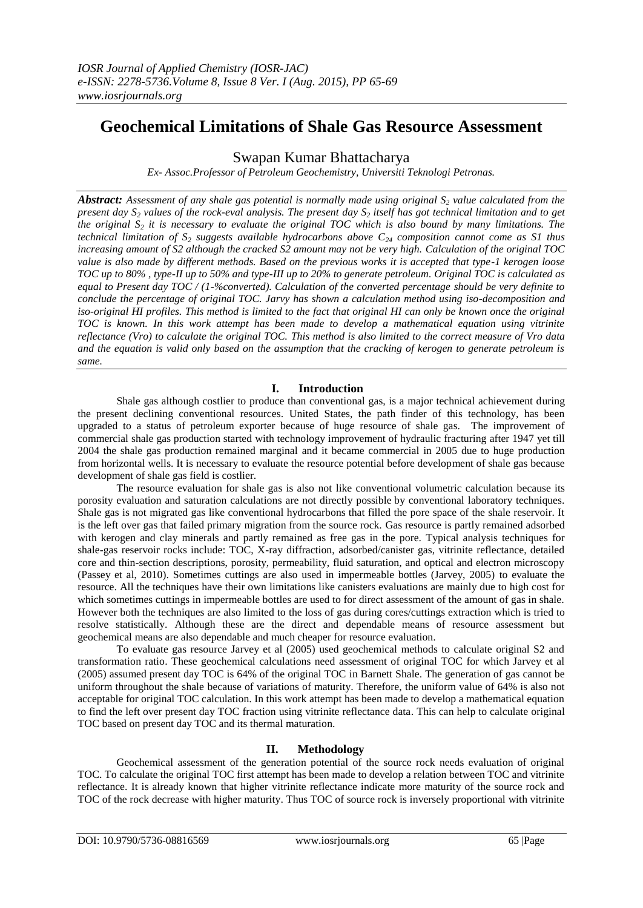# **Geochemical Limitations of Shale Gas Resource Assessment**

Swapan Kumar Bhattacharya

*Ex- Assoc.Professor of Petroleum Geochemistry, Universiti Teknologi Petronas.*

*Abstract: Assessment of any shale gas potential is normally made using original S<sup>2</sup> value calculated from the present day S<sup>2</sup> values of the rock-eval analysis. The present day S<sup>2</sup> itself has got technical limitation and to get the original S<sup>2</sup> it is necessary to evaluate the original TOC which is also bound by many limitations. The technical limitation of S<sup>2</sup> suggests available hydrocarbons above C<sup>24</sup> composition cannot come as S1 thus increasing amount of S2 although the cracked S2 amount may not be very high. Calculation of the original TOC value is also made by different methods. Based on the previous works it is accepted that type-1 kerogen loose TOC up to 80% , type-II up to 50% and type-III up to 20% to generate petroleum. Original TOC is calculated as equal to Present day TOC / (1-%converted). Calculation of the converted percentage should be very definite to conclude the percentage of original TOC. Jarvy has shown a calculation method using iso-decomposition and iso-original HI profiles. This method is limited to the fact that original HI can only be known once the original TOC is known. In this work attempt has been made to develop a mathematical equation using vitrinite reflectance (Vro) to calculate the original TOC. This method is also limited to the correct measure of Vro data and the equation is valid only based on the assumption that the cracking of kerogen to generate petroleum is same.*

## **I. Introduction**

Shale gas although costlier to produce than conventional gas, is a major technical achievement during the present declining conventional resources. United States, the path finder of this technology, has been upgraded to a status of petroleum exporter because of huge resource of shale gas. The improvement of commercial shale gas production started with technology improvement of hydraulic fracturing after 1947 yet till 2004 the shale gas production remained marginal and it became commercial in 2005 due to huge production from horizontal wells. It is necessary to evaluate the resource potential before development of shale gas because development of shale gas field is costlier.

The resource evaluation for shale gas is also not like conventional volumetric calculation because its porosity evaluation and saturation calculations are not directly possible by conventional laboratory techniques. Shale gas is not migrated gas like conventional hydrocarbons that filled the pore space of the shale reservoir. It is the left over gas that failed primary migration from the source rock. Gas resource is partly remained adsorbed with kerogen and clay minerals and partly remained as free gas in the pore. Typical analysis techniques for shale-gas reservoir rocks include: TOC, X-ray diffraction, adsorbed/canister gas, vitrinite reflectance, detailed core and thin-section descriptions, porosity, permeability, fluid saturation, and optical and electron microscopy (Passey et al, 2010). Sometimes cuttings are also used in impermeable bottles (Jarvey, 2005) to evaluate the resource. All the techniques have their own limitations like canisters evaluations are mainly due to high cost for which sometimes cuttings in impermeable bottles are used to for direct assessment of the amount of gas in shale. However both the techniques are also limited to the loss of gas during cores/cuttings extraction which is tried to resolve statistically. Although these are the direct and dependable means of resource assessment but geochemical means are also dependable and much cheaper for resource evaluation.

To evaluate gas resource Jarvey et al (2005) used geochemical methods to calculate original S2 and transformation ratio. These geochemical calculations need assessment of original TOC for which Jarvey et al (2005) assumed present day TOC is 64% of the original TOC in Barnett Shale. The generation of gas cannot be uniform throughout the shale because of variations of maturity. Therefore, the uniform value of 64% is also not acceptable for original TOC calculation. In this work attempt has been made to develop a mathematical equation to find the left over present day TOC fraction using vitrinite reflectance data. This can help to calculate original TOC based on present day TOC and its thermal maturation.

### **II. Methodology**

Geochemical assessment of the generation potential of the source rock needs evaluation of original TOC. To calculate the original TOC first attempt has been made to develop a relation between TOC and vitrinite reflectance. It is already known that higher vitrinite reflectance indicate more maturity of the source rock and TOC of the rock decrease with higher maturity. Thus TOC of source rock is inversely proportional with vitrinite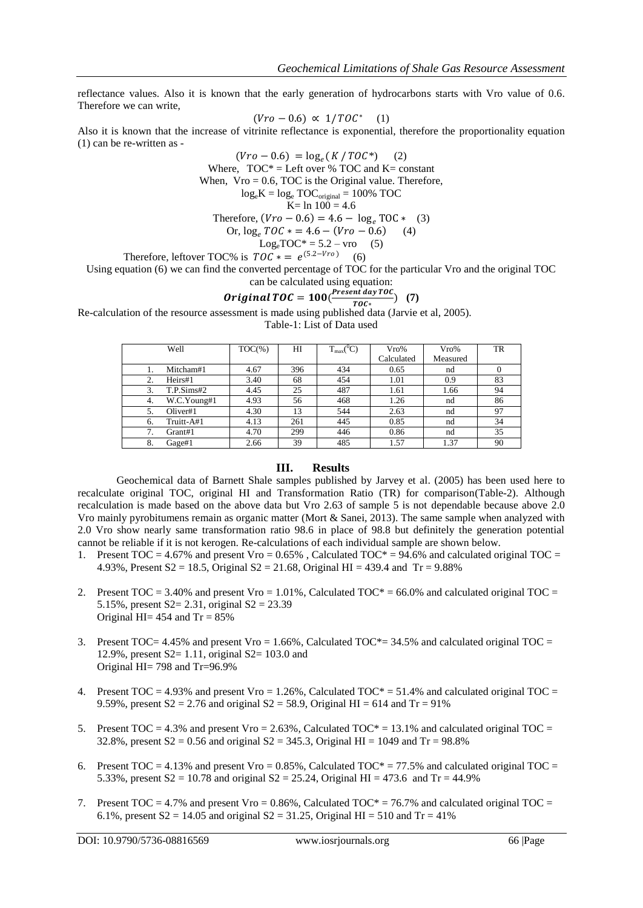reflectance values. Also it is known that the early generation of hydrocarbons starts with Vro value of 0.6. Therefore we can write,

$$
(Vro - 0.6) \propto 1/TOC^* \quad (1)
$$

Also it is known that the increase of vitrinite reflectance is exponential, therefore the proportionality equation (1) can be re-written as -

 $(Vro - 0.6) = log_e(K / TOC^*)$  (2) Where,  $TOC^* = Left over % TOC and K = constant$ When,  $V_{\text{TO}} = 0.6$ , TOC is the Original value. Therefore,  $log_e K = log_e TOC_{original} = 100\% TOC$  $K=$  ln  $100 = 4.6$ Therefore,  $(Vro - 0.6) = 4.6 - \log_e TOC * (3)$ <br>Or,  $\log_e TOC * = 4.6 - (Vro - 0.6)$  (4) Or,  $\log_e TOC$   $* = 4.6 - (Vro - 0.6)$  $Log_e \text{TOC*} = 5.2 - \text{vro}$  (5) Therefore, leftover TOC% is  $TOC * = e^{(5.2 - Vro)}$  (6)

Using equation (6) we can find the converted percentage of TOC for the particular Vro and the original TOC

can be calculated using equation:  
**Original TOC** = 
$$
100(\frac{Present \, day \, TOC}{TOC})
$$
 (7)

 $R$ e-calculation of the resource assessment is made using published data (Jarvie et al, 2005).

Table-1: List of Data used

| Well |             | $TOC(\% )$ | $T_{max} ({}^0C)$<br>HI |     | Vro%       | $V_{\rm TO}$ % | TR |
|------|-------------|------------|-------------------------|-----|------------|----------------|----|
|      |             |            |                         |     | Calculated | Measured       |    |
|      | Mitcham#1   | 4.67       | 396                     | 434 | 0.65       | nd             |    |
|      | Heirs#1     | 3.40       | 68                      | 454 | 1.01       | 0.9            | 83 |
| 3.   | T.P.Sims#2  | 4.45       | 25                      | 487 | 1.61       | 1.66           | 94 |
| 4.   | W.C.Young#1 | 4.93       | 56                      | 468 | 1.26       | nd             | 86 |
|      | Oliver#1    | 4.30       | 13                      | 544 | 2.63       | nd             | 97 |
| 6.   | Truitt-A#1  | 4.13       | 261                     | 445 | 0.85       | nd             | 34 |
|      | Grant#1     | 4.70       | 299                     | 446 | 0.86       | nd             | 35 |
| 8.   | Gage#1      | 2.66       | 39                      | 485 | 1.57       | 1.37           | 90 |

#### **III. Results**

Geochemical data of Barnett Shale samples published by Jarvey et al. (2005) has been used here to recalculate original TOC, original HI and Transformation Ratio (TR) for comparison(Table-2). Although recalculation is made based on the above data but Vro 2.63 of sample 5 is not dependable because above 2.0 Vro mainly pyrobitumens remain as organic matter (Mort & Sanei, 2013). The same sample when analyzed with 2.0 Vro show nearly same transformation ratio 98.6 in place of 98.8 but definitely the generation potential cannot be reliable if it is not kerogen. Re-calculations of each individual sample are shown below.

- 1. Present  $TOC = 4.67\%$  and present  $Vro = 0.65\%$ , Calculated  $TOC^* = 94.6\%$  and calculated original  $TOC = 1.65\%$ 4.93%, Present  $S2 = 18.5$ , Original  $S2 = 21.68$ , Original HI = 439.4 and Tr = 9.88%
- 2. Present  $TOC = 3.40\%$  and present  $Vro = 1.01\%$ , Calculated  $TOC^* = 66.0\%$  and calculated original  $TOC = 2.40\%$ 5.15%, present S2= 2.31, original S2 = 23.39 Original HI=  $454$  and Tr =  $85\%$
- 3. Present  $TOC = 4.45\%$  and present Vro = 1.66%, Calculated  $TOC^* = 34.5\%$  and calculated original TOC = 12.9%, present S2= 1.11, original S2= 103.0 and Original HI= 798 and Tr=96.9%
- 4. Present TOC = 4.93% and present Vro = 1.26%, Calculated TOC\* = 51.4% and calculated original TOC = 9.59%, present  $S2 = 2.76$  and original  $S2 = 58.9$ , Original HI = 614 and Tr = 91%
- 5. Present  $TOC = 4.3\%$  and present  $Vro = 2.63\%$ , Calculated  $TOC^* = 13.1\%$  and calculated original  $TOC = 2.63\%$ 32.8%, present  $S2 = 0.56$  and original  $S2 = 345.3$ , Original HI = 1049 and Tr = 98.8%
- 6. Present  $TOC = 4.13\%$  and present Vro = 0.85%, Calculated  $TOC^* = 77.5\%$  and calculated original TOC = 5.33%, present  $S2 = 10.78$  and original  $S2 = 25.24$ , Original HI = 473.6 and Tr = 44.9%
- 7. Present  $TOC = 4.7\%$  and present  $Vro = 0.86\%$ , Calculated  $TOC^* = 76.7\%$  and calculated original TOC = 6.1%, present  $S2 = 14.05$  and original  $S2 = 31.25$ , Original HI = 510 and Tr = 41%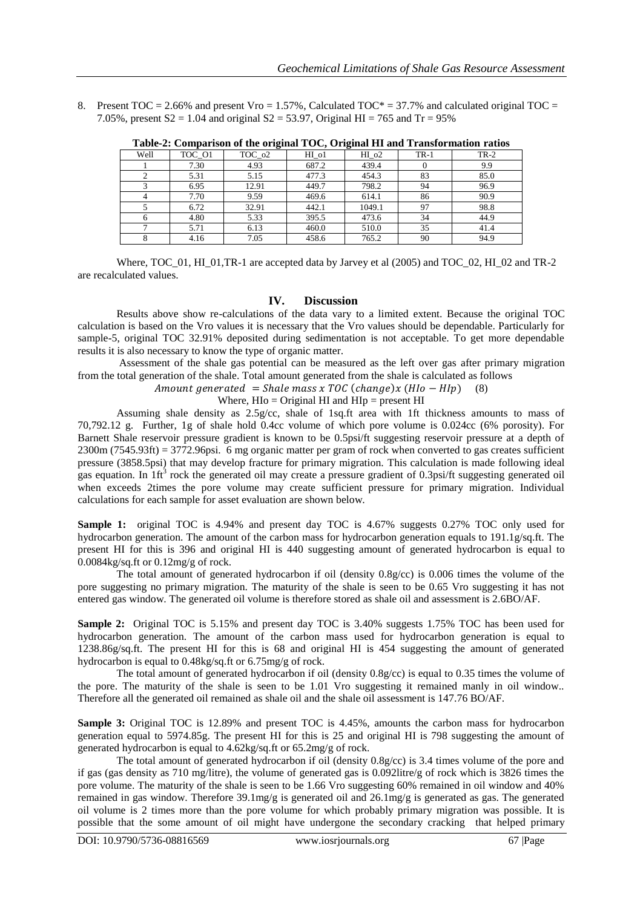8. Present  $TOC = 2.66\%$  and present  $Vro = 1.57\%$ . Calculated  $TOC^* = 37.7\%$  and calculated original  $TOC = 2.66\%$ 7.05%, present  $S2 = 1.04$  and original  $S2 = 53.97$ , Original HI = 765 and Tr = 95%

| Table-2. Comparison of the original TOC, Original III and Transformation ratios |        |        |       |                  |        |        |  |  |  |  |
|---------------------------------------------------------------------------------|--------|--------|-------|------------------|--------|--------|--|--|--|--|
| Well                                                                            | TOC 01 | TOC 02 | HI ol | HI <sub>o2</sub> | $TR-1$ | $TR-2$ |  |  |  |  |
|                                                                                 | 7.30   | 4.93   | 687.2 | 439.4            |        | 9.9    |  |  |  |  |
|                                                                                 | 5.31   | 5.15   | 477.3 | 454.3            | 83     | 85.0   |  |  |  |  |
|                                                                                 | 6.95   | 12.91  | 449.7 | 798.2            | 94     | 96.9   |  |  |  |  |
|                                                                                 | 7.70   | 9.59   | 469.6 | 614.1            | 86     | 90.9   |  |  |  |  |
|                                                                                 | 6.72   | 32.91  | 442.1 | 1049.1           | 97     | 98.8   |  |  |  |  |
| <sub>6</sub>                                                                    | 4.80   | 5.33   | 395.5 | 473.6            | 34     | 44.9   |  |  |  |  |
|                                                                                 | 5.71   | 6.13   | 460.0 | 510.0            | 35     | 41.4   |  |  |  |  |
|                                                                                 | 4.16   | 7.05   | 458.6 | 765.2            | 90     | 94.9   |  |  |  |  |

**Table-2: Comparison of the original TOC, Original HI and Transformation ratios**

Where, TOC\_01, HI\_01,TR-1 are accepted data by Jarvey et al (2005) and TOC\_02, HI\_02 and TR-2 are recalculated values.

#### **IV. Discussion**

Results above show re-calculations of the data vary to a limited extent. Because the original TOC calculation is based on the Vro values it is necessary that the Vro values should be dependable. Particularly for sample-5, original TOC 32.91% deposited during sedimentation is not acceptable. To get more dependable results it is also necessary to know the type of organic matter.

Assessment of the shale gas potential can be measured as the left over gas after primary migration from the total generation of the shale. Total amount generated from the shale is calculated as follows

Amount generated = Shale mass x TOC (change)x  $(HI_0 - HI_p)$  (8)

Where,  $H$ I $o$  = Original HI and  $H$ I $p$  = present HI

Assuming shale density as 2.5g/cc, shale of 1sq.ft area with 1ft thickness amounts to mass of 70,792.12 g. Further, 1g of shale hold 0.4cc volume of which pore volume is 0.024cc (6% porosity). For Barnett Shale reservoir pressure gradient is known to be 0.5psi/ft suggesting reservoir pressure at a depth of 2300m (7545.93ft) = 3772.96psi. 6 mg organic matter per gram of rock when converted to gas creates sufficient pressure (3858.5psi) that may develop fracture for primary migration. This calculation is made following ideal gas equation. In  $1 \text{ft}^3$  rock the generated oil may create a pressure gradient of 0.3psi/ft suggesting generated oil when exceeds 2times the pore volume may create sufficient pressure for primary migration. Individual calculations for each sample for asset evaluation are shown below.

**Sample 1:** original TOC is 4.94% and present day TOC is 4.67% suggests 0.27% TOC only used for hydrocarbon generation. The amount of the carbon mass for hydrocarbon generation equals to 191.1g/sq.ft. The present HI for this is 396 and original HI is 440 suggesting amount of generated hydrocarbon is equal to 0.0084kg/sq.ft or 0.12mg/g of rock.

The total amount of generated hydrocarbon if oil (density 0.8g/cc) is 0.006 times the volume of the pore suggesting no primary migration. The maturity of the shale is seen to be 0.65 Vro suggesting it has not entered gas window. The generated oil volume is therefore stored as shale oil and assessment is 2.6BO/AF.

**Sample 2:** Original TOC is 5.15% and present day TOC is 3.40% suggests 1.75% TOC has been used for hydrocarbon generation. The amount of the carbon mass used for hydrocarbon generation is equal to 1238.86g/sq.ft. The present HI for this is 68 and original HI is 454 suggesting the amount of generated hydrocarbon is equal to 0.48kg/sq.ft or 6.75mg/g of rock.

The total amount of generated hydrocarbon if oil (density 0.8g/cc) is equal to 0.35 times the volume of the pore. The maturity of the shale is seen to be 1.01 Vro suggesting it remained manly in oil window.. Therefore all the generated oil remained as shale oil and the shale oil assessment is 147.76 BO/AF.

**Sample 3:** Original TOC is 12.89% and present TOC is 4.45%, amounts the carbon mass for hydrocarbon generation equal to 5974.85g. The present HI for this is 25 and original HI is 798 suggesting the amount of generated hydrocarbon is equal to 4.62kg/sq.ft or 65.2mg/g of rock.

The total amount of generated hydrocarbon if oil (density 0.8g/cc) is 3.4 times volume of the pore and if gas (gas density as 710 mg/litre), the volume of generated gas is 0.092litre/g of rock which is 3826 times the pore volume. The maturity of the shale is seen to be 1.66 Vro suggesting 60% remained in oil window and 40% remained in gas window. Therefore 39.1mg/g is generated oil and 26.1mg/g is generated as gas. The generated oil volume is 2 times more than the pore volume for which probably primary migration was possible. It is possible that the some amount of oil might have undergone the secondary cracking that helped primary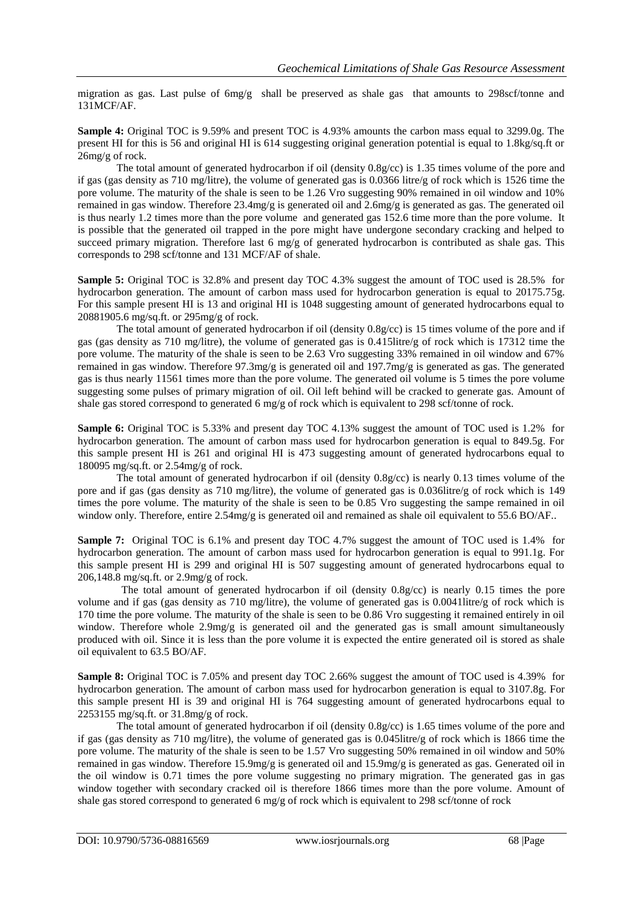migration as gas. Last pulse of  $6mg/g$  shall be preserved as shale gas that amounts to 298scf/tonne and 131MCF/AF.

**Sample 4:** Original TOC is 9.59% and present TOC is 4.93% amounts the carbon mass equal to 3299.0g. The present HI for this is 56 and original HI is 614 suggesting original generation potential is equal to 1.8kg/sq.ft or 26mg/g of rock.

The total amount of generated hydrocarbon if oil (density 0.8g/cc) is 1.35 times volume of the pore and if gas (gas density as 710 mg/litre), the volume of generated gas is 0.0366 litre/g of rock which is 1526 time the pore volume. The maturity of the shale is seen to be 1.26 Vro suggesting 90% remained in oil window and 10% remained in gas window. Therefore 23.4mg/g is generated oil and 2.6mg/g is generated as gas. The generated oil is thus nearly 1.2 times more than the pore volume and generated gas 152.6 time more than the pore volume. It is possible that the generated oil trapped in the pore might have undergone secondary cracking and helped to succeed primary migration. Therefore last 6 mg/g of generated hydrocarbon is contributed as shale gas. This corresponds to 298 scf/tonne and 131 MCF/AF of shale.

**Sample 5:** Original TOC is 32.8% and present day TOC 4.3% suggest the amount of TOC used is 28.5% for hydrocarbon generation. The amount of carbon mass used for hydrocarbon generation is equal to 20175.75g. For this sample present HI is 13 and original HI is 1048 suggesting amount of generated hydrocarbons equal to 20881905.6 mg/sq.ft. or 295mg/g of rock.

The total amount of generated hydrocarbon if oil (density 0.8g/cc) is 15 times volume of the pore and if gas (gas density as 710 mg/litre), the volume of generated gas is 0.415litre/g of rock which is 17312 time the pore volume. The maturity of the shale is seen to be 2.63 Vro suggesting 33% remained in oil window and 67% remained in gas window. Therefore 97.3mg/g is generated oil and 197.7mg/g is generated as gas. The generated gas is thus nearly 11561 times more than the pore volume. The generated oil volume is 5 times the pore volume suggesting some pulses of primary migration of oil. Oil left behind will be cracked to generate gas. Amount of shale gas stored correspond to generated 6 mg/g of rock which is equivalent to 298 scf/tonne of rock.

**Sample 6:** Original TOC is 5.33% and present day TOC 4.13% suggest the amount of TOC used is 1.2% for hydrocarbon generation. The amount of carbon mass used for hydrocarbon generation is equal to 849.5g. For this sample present HI is 261 and original HI is 473 suggesting amount of generated hydrocarbons equal to 180095 mg/sq.ft. or 2.54mg/g of rock.

The total amount of generated hydrocarbon if oil (density 0.8g/cc) is nearly 0.13 times volume of the pore and if gas (gas density as 710 mg/litre), the volume of generated gas is 0.036litre/g of rock which is 149 times the pore volume. The maturity of the shale is seen to be 0.85 Vro suggesting the sampe remained in oil window only. Therefore, entire 2.54mg/g is generated oil and remained as shale oil equivalent to 55.6 BO/AF..

**Sample 7:** Original TOC is 6.1% and present day TOC 4.7% suggest the amount of TOC used is 1.4% for hydrocarbon generation. The amount of carbon mass used for hydrocarbon generation is equal to 991.1g. For this sample present HI is 299 and original HI is 507 suggesting amount of generated hydrocarbons equal to 206,148.8 mg/sq.ft. or 2.9mg/g of rock.

The total amount of generated hydrocarbon if oil (density 0.8g/cc) is nearly 0.15 times the pore volume and if gas (gas density as 710 mg/litre), the volume of generated gas is 0.0041litre/g of rock which is 170 time the pore volume. The maturity of the shale is seen to be 0.86 Vro suggesting it remained entirely in oil window. Therefore whole 2.9mg/g is generated oil and the generated gas is small amount simultaneously produced with oil. Since it is less than the pore volume it is expected the entire generated oil is stored as shale oil equivalent to 63.5 BO/AF.

**Sample 8:** Original TOC is 7.05% and present day TOC 2.66% suggest the amount of TOC used is 4.39% for hydrocarbon generation. The amount of carbon mass used for hydrocarbon generation is equal to 3107.8g. For this sample present HI is 39 and original HI is 764 suggesting amount of generated hydrocarbons equal to 2253155 mg/sq.ft. or 31.8mg/g of rock.

The total amount of generated hydrocarbon if oil (density 0.8g/cc) is 1.65 times volume of the pore and if gas (gas density as 710 mg/litre), the volume of generated gas is 0.045litre/g of rock which is 1866 time the pore volume. The maturity of the shale is seen to be 1.57 Vro suggesting 50% remained in oil window and 50% remained in gas window. Therefore 15.9mg/g is generated oil and 15.9mg/g is generated as gas. Generated oil in the oil window is 0.71 times the pore volume suggesting no primary migration. The generated gas in gas window together with secondary cracked oil is therefore 1866 times more than the pore volume. Amount of shale gas stored correspond to generated 6 mg/g of rock which is equivalent to 298 scf/tonne of rock